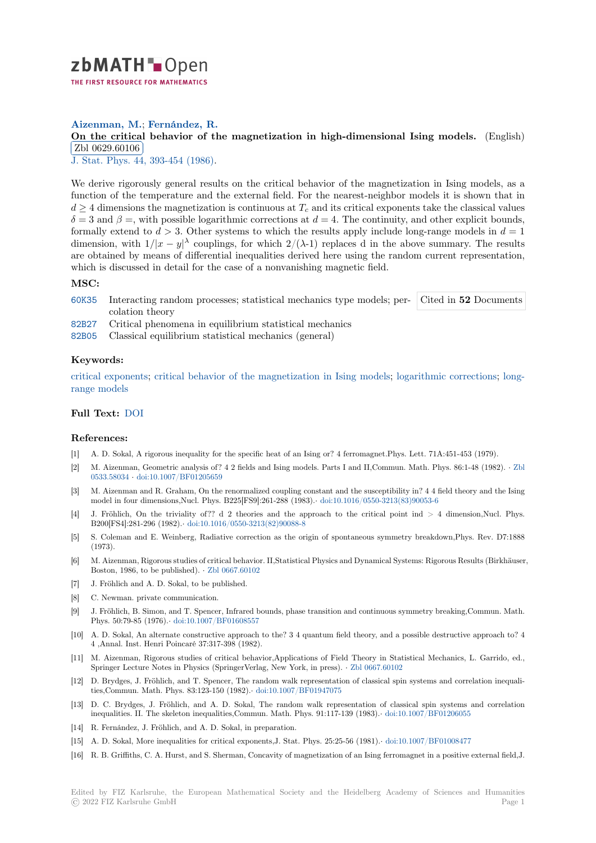

### **Aizenman, M.**; **Fernández, R.**

# **[O](https://zbmath.org/)n the critical behavior of the magnetization in high-dimensional Ising models.** (English) Zbl 0629.60106

✂ ✁ J. Stat. Phys. 44, 393-454 (1986).

[We derive rigorously general results on the critical behavior of the magnetization in Ising m](https://zbmath.org/0629.60106)odels, as a [function of the te](https://zbmath.org/0629.60106)mperature and the external field. For the nearest-neighbor models it is shown that in  $d \geq 4$  [dimensi](https://zbmath.org/journals/?q=se:140)[ons the magnetizati](https://zbmath.org/?q=in:153733)on is continuous at  $T_c$  and its critical exponents take the classical values  $\delta$  = 3 and  $\beta$  =, with possible logarithmic corrections at *d* = 4. The continuity, and other explicit bounds, formally extend to  $d > 3$ . Other systems to which the results apply include long-range models in  $d = 1$ dimension, with  $1/|x-y|^{\lambda}$  couplings, for which  $2/(\lambda-1)$  replaces d in the above summary. The results are obtained by means of differential inequalities derived here using the random current representation, which is discussed in detail for the case of a nonvanishing magnetic field.

#### **MSC:**

- 60K35 Interacting random processes; statistical mechanics type models; per-Cited in **52** Documents colation theory
- 82B27 Critical phenomena in equilibrium statistical mechanics
- 82B05 Classical equilibrium statistical mechanics (general)

#### **[Keyw](https://zbmath.org/classification/?q=cc:60K35)ords:**

[critica](https://zbmath.org/classification/?q=cc:82B27)l exponents; critical behavior of the magnetization in Ising models; logarithmic corrections; long[range](https://zbmath.org/classification/?q=cc:82B05) models

## **Full Text:** DOI

#### **[References:](https://zbmath.org/?q=ut:long-range+models)**

- [1] A. D. Sokal, A rigorous inequality for the specific heat of an Ising or? 4 ferromagnet.Phys. Lett. 71A:451-453 (1979).
- [2] M. Aizen[man, G](https://dx.doi.org/10.1007/BF01011304)eometric analysis of? 4 2 fields and Ising models. Parts I and II,Commun. Math. Phys. 86:1-48 (1982). *·* Zbl 0533.58034 *·* doi:10.1007/BF01205659
- [3] M. Aizenman and R. Graham, On the renormalized coupling constant and the susceptibility in? 4 4 field theory and the Ising model in four dimensions,Nucl. Phys. B225[FS9]:261-288 (1983).*·* doi:10.1016/0550-3213(83)90053-6
- [4] J. Fröhlich, On the triviality of?? d 2 theories and the approach to the critical point ind > 4 dimension,Nucl. P[hys.](https://zbmath.org/0533.58034) [B200\[FS4\]:2](https://zbmath.org/0533.58034)8[1-296 \(1982\).](https://dx.doi.org/10.1007/BF01205659)*·* doi:10.1016/0550-3213(82)90088-8
- [5] S. Coleman and E. Weinberg, Radiative correction as the origin of spontaneous symmetry breakdown,Phys. Rev. D7:1888 (1973).
- [6] M. Aizenman, Rigorous studies of critical behavior. II,Statistical Physics and Dynamical Systems: Rigorous Results (Birkhäuser, Boston, 1986, to be published). *·* [Zbl 0667.60102](https://dx.doi.org/10.1016/0550-3213(82)90088-8)
- [7] J. Fröhlich and A. D. Sokal, to be published.
- [8] C. Newman. private communication.
- [9] J. Fröhlich, B. Simon, and T. Spencer, Infrared bounds, phase transition and continuous symmetry breaking,Commun. Math. Phys. 50:79-85 (1976).*·* doi:10.10[07/BF01608557](https://zbmath.org/0667.60102)
- [10] A. D. Sokal, An alternate constructive approach to the? 3 4 quantum field theory, and a possible destructive approach to? 4 4 ,Annal. Inst. Henri Poincaré 37:317-398 (1982).
- [11] M. Aizenman, Rigorous studies of critical behavior,Applications of Field Theory in Statistical Mechanics, L. Garrido, ed., Springer Lecture Notes [in Physics \(SpringerVerla](https://dx.doi.org/10.1007/BF01608557)g, New York, in press). *·* Zbl 0667.60102
- [12] D. Brydges, J. Fröhlich, and T. Spencer, The random walk representation of classical spin systems and correlation inequalities,Commun. Math. Phys. 83:123-150 (1982).*·* doi:10.1007/BF01947075
- [13] D. C. Brydges, J. Fröhlich, and A. D. Sokal, The random walk representation of classical spin systems and correlation inequalities. II. The skeleton inequalities,Commun. Math. Phys. 91:117-13[9 \(1983\).](https://zbmath.org/0667.60102)*·* doi:10.1007/BF01206055
- [14] R. Fernández, J. Fröhlich, and A. D. Sokal, in preparation.
- [15] A. D. Sokal, More inequalities for critical expo[nents,J. Stat. Phys. 25:25](https://dx.doi.org/10.1007/BF01947075)-56 (1981).*·* doi:10.1007/BF01008477
- [16] R. B. Griffiths, C. A. Hurst, and S. Sherman, Concavity of magnetization of an Ising [ferromagnet in a positive](https://dx.doi.org/10.1007/BF01206055) external field,J.